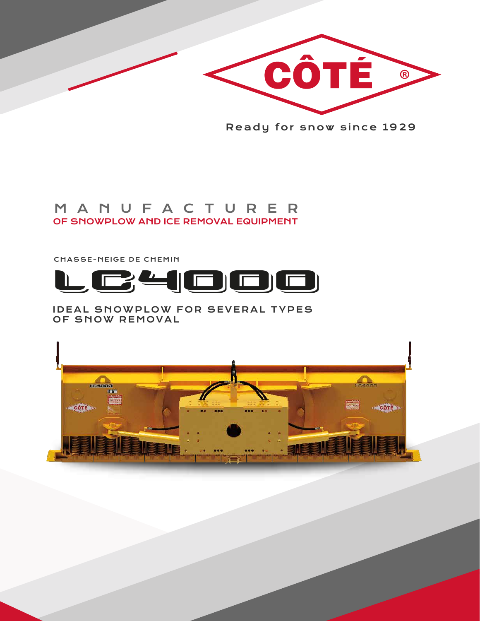

Ready for snow since 1929

# OF SNOWPLOW AND ICE REMOVAL EQUIPMENT MANUFACTURER

CHASSE-NEIGE DE CHEMIN



IDEAL SNOWPLOW FOR SEVERAL TYPES OF SNOW REMOVAL

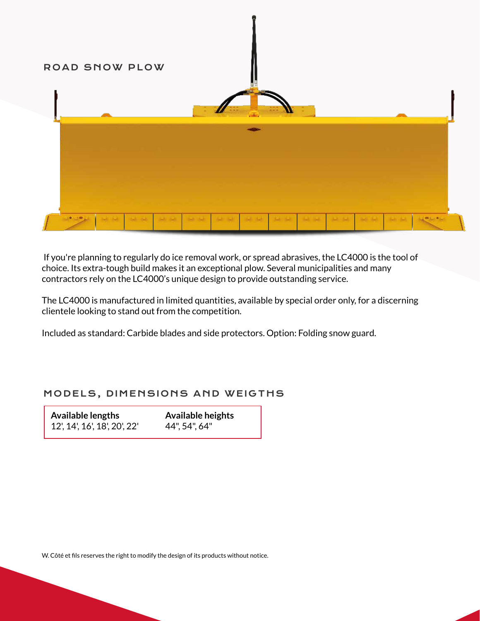

 If you're planning to regularly do ice removal work, or spread abrasives, the LC4000 is the tool of choice. Its extra-tough build makes it an exceptional plow. Several municipalities and many contractors rely on the LC4000's unique design to provide outstanding service.

The LC4000 is manufactured in limited quantities, available by special order only, for a discerning clientele looking to stand out from the competition.

Included as standard: Carbide blades and side protectors. Option: Folding snow guard.

### MODELS, DIMENSIONS AND WEIGTHS

| <b>Available lengths</b>     | <b>Available heights</b> |
|------------------------------|--------------------------|
| 12', 14', 16', 18', 20', 22' | 44", 54", 64"            |

W. Côté et fils reserves the right to modify the design of its products without notice.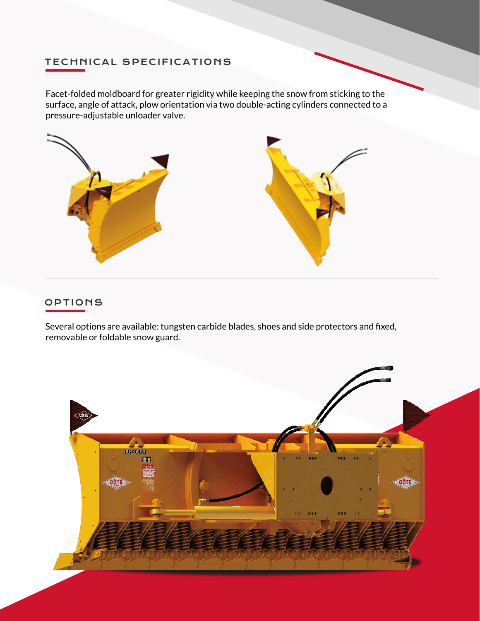## TECHNICAL SPECIFICATIONS

Facet-folded moldboard for greater rigidity while keeping the snow from sticking to the surface, angle of attack, plow orientation via two double-acting cylinders connected to a pressure-adjustable unloader valve.



#### OPTIONS

Several options are available: tungsten carbide blades, shoes and side protectors and fixed, removable or foldable snow guard.